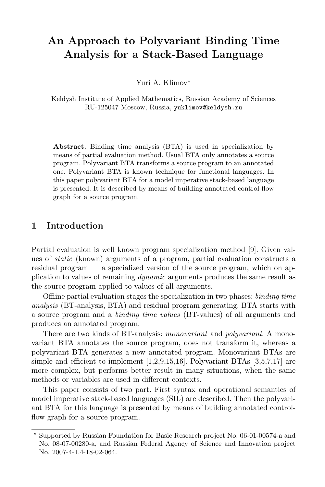# An Approach to Polyvariant Binding Time Analysis for a Stack-Based Language

Yuri A. Klimov\*

Keldysh Institute of Applied Mathematics, Russian Academy of Sciences RU-125047 Moscow, Russia, yuklimov@keldysh.ru

Abstract. Binding time analysis (BTA) is used in specialization by means of partial evaluation method. Usual BTA only annotates a source program. Polyvariant BTA transforms a source program to an annotated one. Polyvariant BTA is known technique for functional languages. In this paper polyvariant BTA for a model imperative stack-based language is presented. It is described by means of building annotated control-flow graph for a source program.

# 1 Introduction

Partial evaluation is well known program specialization method [9]. Given values of static (known) arguments of a program, partial evaluation constructs a residual program — a specialized version of the source program, which on application to values of remaining dynamic arguments produces the same result as the source program applied to values of all arguments.

Offline partial evaluation stages the specialization in two phases: binding time analysis (BT-analysis, BTA) and residual program generating. BTA starts with a source program and a binding time values (BT-values) of all arguments and produces an annotated program.

There are two kinds of BT-analysis: *monovariant* and *polyvariant*. A monovariant BTA annotates the source program, does not transform it, whereas a polyvariant BTA generates a new annotated program. Monovariant BTAs are simple and efficient to implement  $[1,2,9,15,16]$ . Polyvariant BTAs  $[3,5,7,17]$  are more complex, but performs better result in many situations, when the same methods or variables are used in different contexts.

This paper consists of two part. First syntax and operational semantics of model imperative stack-based languages (SIL) are described. Then the polyvariant BTA for this language is presented by means of building annotated controlflow graph for a source program.

<sup>?</sup> Supported by Russian Foundation for Basic Research project No. 06-01-00574-a and No. 08-07-00280-a, and Russian Federal Agency of Science and Innovation project No. 2007-4-1.4-18-02-064.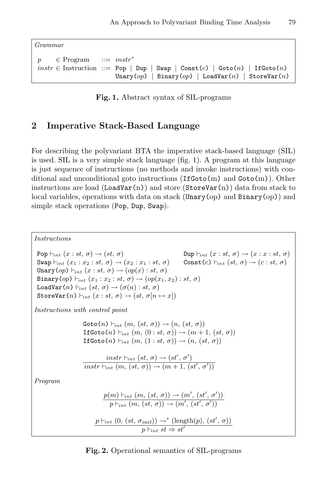Grammar

 $p \in Program \ ::= instr^*$  $instr \in$  Instruction ::= Pop | Dup | Swap | Const $(c)$  | Goto $(n)$  | IfGoto $(n)$ Unary(op) | Binary(op) | LoadVar(n) | StoreVar(n)

Fig. 1. Abstract syntax of SIL-programs

# 2 Imperative Stack-Based Language

For describing the polyvariant BTA the imperative stack-based language (SIL) is used. SIL is a very simple stack language (fig. 1). A program at this language is just sequence of instructions (no methods and invoke instructions) with conditional and unconditional goto instructions  $(\text{If Goto}(m))$  and  $\text{Goto}(m)$ ). Other instructions are load  $(LoadVar(n))$  and store  $(StoreVar(n))$  data from stack to local variables, operations with data on stack (Unary(op) and  $\text{Binary}(op)$ ) and simple stack operations (Pop, Dup, Swap).

Instructions  $Pop \vdash_{int} (x : st, \sigma) \rightarrow (st, \sigma)$  Dup  $\vdash_{int} (x : st, \sigma) \rightarrow (x : x : st, \sigma)$ Swap  $\vdash_{int} (x_1 : x_2 : st, \sigma) \rightarrow (x_2 : x_1 : st, \sigma)$  Const  $(c) \vdash_{int} (st, \sigma) \rightarrow (c : st, \sigma)$ Unary  $(op) \vdash_{int} (x : st, \sigma) \rightarrow (op(x) : st, \sigma)$ Binary(op)  $\vdash_{int} (x_1 : x_2 : st, \sigma) \rightarrow (op(x_1, x_2) : st, \sigma)$ LoadVar $(n) \vdash_{int} (st, \sigma) \rightarrow (\sigma(n) : st, \sigma)$ StoreVar $(n) \vdash_{int} (x : st, \sigma) \rightarrow (st, \sigma[n \mapsto x])$ Instructions with control point  $\text{Goto}(n) \vdash_{int} (m, (st, \sigma)) \rightarrow (n, (st, \sigma))$ IfGoto $(n) \vdash_{int} (m, (0 : st, \sigma)) \rightarrow (m + 1, (st, \sigma))$ If $\text{Goto}(n) \vdash_{int} (m, (1 : st, \sigma)) \rightarrow (n, (st, \sigma))$  $instr \vdash_{int} (st, \sigma) \rightarrow (st', \sigma')$  $\overline{instr}\vdash_{int}(m, (st, \sigma)) \rightarrow (m+1, (st', \sigma'))$ Program  $p(m) \vdash_{int} (m, (st, \sigma)) \rightarrow (m', (st', \sigma'))$  $p \vdash_{int} (m, (st, \sigma)) \rightarrow (m', (st', \sigma'))$  $p \vdash_{int} (0, (st, \sigma_{init})) \rightarrow^* (\text{length}(p), (st', \sigma))$  $p \vdash_{int} st \Rightarrow st'$ 

Fig. 2. Operational semantics of SIL-programs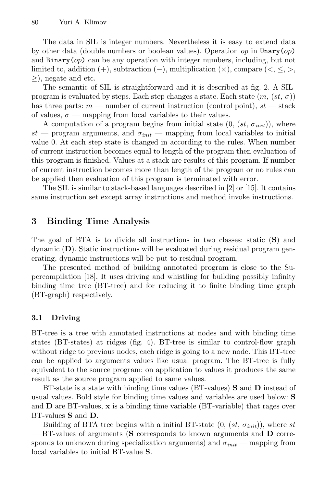The data in SIL is integer numbers. Nevertheless it is easy to extend data by other data (double numbers or boolean values). Operation  $op$  in Unary $(op)$ and  $\text{Binary}(op)$  can be any operation with integer numbers, including, but not limited to, addition  $(+)$ , subtraction  $(-)$ , multiplication  $(\times)$ , compare  $(<, \leq, >)$ ,  $\geq$ ), negate and etc.

The semantic of SIL is straightforward and it is described at fig. 2. A SILprogram is evaluated by steps. Each step changes a state. Each state  $(m, (st, \sigma))$ has three parts:  $m$  — number of current instruction (control point),  $st$  — stack of values,  $\sigma$  — mapping from local variables to their values.

A computation of a program begins from initial state  $(0, (st, \sigma_{init}))$ , where st — program arguments, and  $\sigma_{init}$  — mapping from local variables to initial value 0. At each step state is changed in according to the rules. When number of current instruction becomes equal to length of the program then evaluation of this program is finished. Values at a stack are results of this program. If number of current instruction becomes more than length of the program or no rules can be applied then evaluation of this program is terminated with error.

The SIL is similar to stack-based languages described in [2] or [15]. It contains same instruction set except array instructions and method invoke instructions.

# 3 Binding Time Analysis

The goal of BTA is to divide all instructions in two classes: static (S) and dynamic (D). Static instructions will be evaluated during residual program generating, dynamic instructions will be put to residual program.

The presented method of building annotated program is close to the Supercompilation [18]. It uses driving and whistling for building possibly infinity binding time tree (BT-tree) and for reducing it to finite binding time graph (BT-graph) respectively.

# 3.1 Driving

BT-tree is a tree with annotated instructions at nodes and with binding time states (BT-states) at ridges (fig. 4). BT-tree is similar to control-flow graph without ridge to previous nodes, each ridge is going to a new node. This BT-tree can be applied to arguments values like usual program. The BT-tree is fully equivalent to the source program: on application to values it produces the same result as the source program applied to same values.

BT-state is a state with binding time values (BT-values) S and D instead of usual values. Bold style for binding time values and variables are used below: S and  **are BT-values,**  $**x**$  **is a binding time variable (BT-variable) that rages over** BT-values S and D.

Building of BTA tree begins with a initial BT-state  $(0, (st, \sigma_{init}))$ , where st — BT-values of arguments (S corresponds to known arguments and D corresponds to unknown during specialization arguments) and  $\sigma_{init}$  — mapping from local variables to initial BT-value S.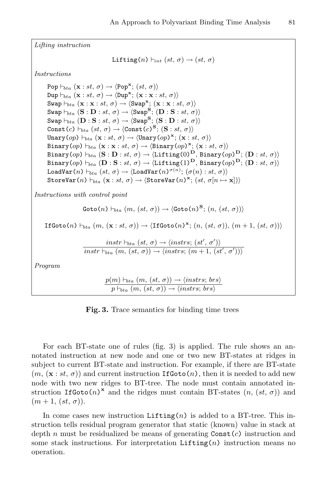Lifting instruction Lifting(n)  $\vdash_{int} (st, \sigma) \rightarrow (st, \sigma)$ Instructions Pop  $\vdash_{bta} (\mathbf{x} : st, \sigma) \rightarrow \langle \mathtt{Pop}^{\mathbf{x}}; (st, \sigma) \rangle$  $\text{Dup}\vdash_{bta} (\mathbf{x}:st, \sigma) \rightarrow \langle \text{Dup}^{\mathbf{x}}; (\mathbf{x}: \mathbf{x}:st, \sigma) \rangle$  $\texttt{Swap}\vdash_{bta} (\mathbf{x} : \mathbf{x} : st, \sigma) \rightarrow \langle \texttt{Swap}^{\mathbf{x}}; (\mathbf{x} : \mathbf{x} : st, \sigma) \rangle$  $\texttt{Swap}\vdash_{bta} (\textbf{S}:\textbf{D}:st,\,\sigma)\rightarrow \langle\texttt{Swap}^{\textbf{S}}; \, (\textbf{D}:\textbf{S}:st,\,\sigma)\rangle$  $\texttt{Swap}\vdash_{bta} (\textbf{D}:\textbf{S}:st,\,\sigma)\rightarrow \langle\texttt{Swap}^{\textbf{S}}; \,(\textbf{S}:\textbf{D}:st,\,\sigma)\rangle$  $\texttt{Const}(c) \vdash_{bta} (st,\,\sigma) \rightarrow \langle \texttt{Const}(c)^\mathbf{S};\, (\mathbf{S}:st,\,\sigma) \rangle$ Unary $(op) \vdash_{bta} (\mathbf{x} : st, \sigma) \rightarrow \langle$ Unary $(op)^{\mathbf{x}}$ ;  $(\mathbf{x} : st, \sigma) \rangle$ Binary(op)  $\vdash_{bta} (\mathbf{x} : \mathbf{x} : st, \sigma) \rightarrow \langle \texttt{Binary}(op)^{\mathbf{x}}; (\mathbf{x} : st, \sigma) \rangle$ Binary(op)  $\vdash_{bta} (\mathbf{S}:\mathbf{D}: st, \, \sigma) \rightarrow \langle \text{Lifting}(0)^{\mathbf{D}}, \, \text{Binary}(op)^{\mathbf{D}}; \, (\mathbf{D}: st, \, \sigma) \rangle$ Binary(op)  $\vdash_{bta} (\mathbf{D} : \mathbf{S} : st, \, \sigma) \rightarrow \langle \mathtt{Lifting(1)^D}, \, \mathtt{Binary(} \, op \allowbreak)^{\mathbf{D}}; \, \mathbf{(D} : st, \, \sigma) \rangle$ LoadVar $(n) \vdash_{bta} (st,\,\sigma) \rightarrow \langle$ LoadVar $(n)^{\,\sigma(n)};\,(\sigma(n):st,\,\sigma)\rangle$  $\texttt{StoreVar}(n) \vdash_{bta} (\mathbf{x} : st, \sigma) \rightarrow \langle \texttt{StoreVar}(n)^\mathbf{x}; \, (st, \sigma[n \mapsto \mathbf{x}]) \rangle$ Instructions with control point  $\mathtt{Goto}(n) \vdash_{bta} (m,\, (st,\, \sigma)) \rightarrow \langle \mathtt{Goto}(n)^\mathbf{S}; \, (n,\, (st,\, \sigma)) \rangle$  $\mathsf{IfGoto}(n) \vdash_{bta} (m, (\mathbf{x} : st, \sigma)) \rightarrow \langle \mathsf{IfGoto}(n)^\mathbf{x}; (n, (st, \sigma)), (m+1, (st, \sigma)) \rangle$  $instr \vdash_{bta} (st, \sigma) \rightarrow \langle instrs; (st', \sigma') \rangle$  $instr \vdash_{bta} (m, (st, \sigma)) \rightarrow \langle instrs; (m + 1, (st', \sigma')) \rangle$ Program  $p(m) \vdash_{bta} (m, (st, \sigma)) \rightarrow \langle instrs; brs \rangle$ 

 $p \vdash_{bta} (m, (st, \sigma)) \rightarrow \langle instrs; brs \rangle$ 

Fig. 3. Trace semantics for binding time trees

For each BT-state one of rules (fig. 3) is applied. The rule shows an annotated instruction at new node and one or two new BT-states at ridges in subject to current BT-state and instruction. For example, if there are BT-state  $(m, (\mathbf{x}:st, \sigma))$  and current instruction **IfGoto** $(n)$ , then it is needed to add new node with two new ridges to BT-tree. The node must contain annotated instruction IfGoto $(n)^x$  and the ridges must contain BT-states  $(n, (st, \sigma))$  and  $(m+1, (st, \sigma)).$ 

In come cases new instruction  $\text{Lifting}(n)$  is added to a BT-tree. This instruction tells residual program generator that static (known) value in stack at depth n must be residualized be means of generating  $\text{Const}(c)$  instruction and some stack instructions. For interpretation  $\text{Lifting}(n)$  instruction means no operation.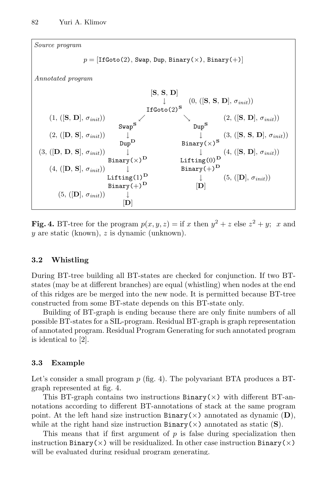

Fig. 4. BT-tree for the program  $p(x, y, z) =$  if x then  $y^2 + z$  else  $z^2 + y$ ; x and y are static (known), z is dynamic (unknown).

### 3.2 Whistling

During BT-tree building all BT-states are checked for conjunction. If two BTstates (may be at different branches) are equal (whistling) when nodes at the end of this ridges are be merged into the new node. It is permitted because BT-tree constructed from some BT-state depends on this BT-state only.

Building of BT-graph is ending because there are only finite numbers of all possible BT-states for a SIL-program. Residual BT-graph is graph representation of annotated program. Residual Program Generating for such annotated program is identical to [2].

### 3.3 Example

Let's consider a small program  $p$  (fig. 4). The polyvariant BTA produces a BTgraph represented at fig. 4.

This BT-graph contains two instructions  $\text{Binary}(\times)$  with different BT-annotations according to different BT-annotations of stack at the same program point. At the left hand size instruction  $\text{Binary}(\times)$  annotated as dynamic  $(D)$ , while at the right hand size instruction  $\text{Binary}(\times)$  annotated as static (S).

This means that if first argument of  $p$  is false during specialization then instruction Binary( $\times$ ) will be residualized. In other case instruction Binary( $\times$ ) will be evaluated during residual program generating.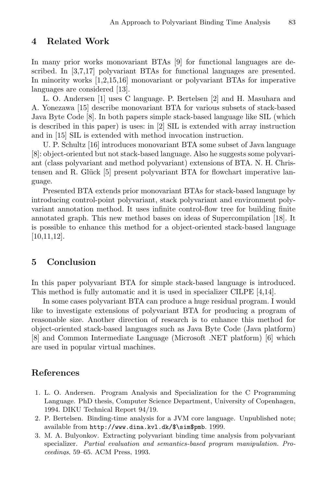## 4 Related Work

In many prior works monovariant BTAs [9] for functional languages are described. In [3,7,17] polyvariant BTAs for functional languages are presented. In minority works [1,2,15,16] monovariant or polyvariant BTAs for imperative languages are considered [13].

L. O. Andersen [1] uses C language. P. Bertelsen [2] and H. Masuhara and A. Yonezawa [15] describe monovariant BTA for various subsets of stack-based Java Byte Code [8]. In both papers simple stack-based language like SIL (which is described in this paper) is uses: in [2] SIL is extended with array instruction and in [15] SIL is extended with method invocation instruction.

U. P. Schultz [16] introduces monovariant BTA some subset of Java language [8]: object-oriented but not stack-based language. Also he suggests some polyvariant (class polyvariant and method polyvariant) extensions of BTA. N. H. Christensen and R. Glück [5] present polyvariant BTA for flowchart imperative language.

Presented BTA extends prior monovariant BTAs for stack-based language by introducing control-point polyvariant, stack polyvariant and environment polyvariant annotation method. It uses infinite control-flow tree for building finite annotated graph. This new method bases on ideas of Supercompilation [18]. It is possible to enhance this method for a object-oriented stack-based language [10,11,12].

# 5 Conclusion

In this paper polyvariant BTA for simple stack-based language is introduced. This method is fully automatic and it is used in specializer CILPE [4,14].

In some cases polyvariant BTA can produce a huge residual program. I would like to investigate extensions of polyvariant BTA for producing a program of reasonable size. Another direction of research is to enhance this method for object-oriented stack-based languages such as Java Byte Code (Java platform) [8] and Common Intermediate Language (Microsoft .NET platform) [6] which are used in popular virtual machines.

# References

- 1. L. O. Andersen. Program Analysis and Specialization for the C Programming Language. PhD thesis, Computer Science Department, University of Copenhagen, 1994. DIKU Technical Report 94/19.
- 2. P. Bertelsen. Binding-time analysis for a JVM core language. Unpublished note; available from http://www.dina.kvl.dk/\$\sim\$pmb. 1999.
- 3. M. A. Bulyonkov. Extracting polyvariant binding time analysis from polyvariant specializer. Partial evaluation and semantics-based program manipulation. Proceedings, 59–65. ACM Press, 1993.